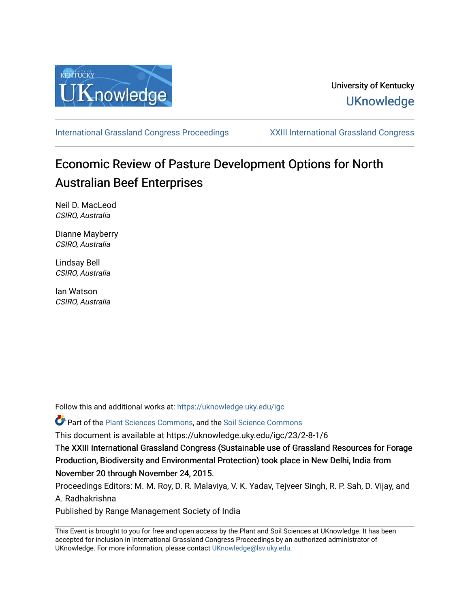

[International Grassland Congress Proceedings](https://uknowledge.uky.edu/igc) [XXIII International Grassland Congress](https://uknowledge.uky.edu/igc/23) 

# Economic Review of Pasture Development Options for North Australian Beef Enterprises

Neil D. MacLeod CSIRO, Australia

Dianne Mayberry CSIRO, Australia

Lindsay Bell CSIRO, Australia

Ian Watson CSIRO, Australia

Follow this and additional works at: [https://uknowledge.uky.edu/igc](https://uknowledge.uky.edu/igc?utm_source=uknowledge.uky.edu%2Figc%2F23%2F2-8-1%2F6&utm_medium=PDF&utm_campaign=PDFCoverPages) 

Part of the [Plant Sciences Commons](http://network.bepress.com/hgg/discipline/102?utm_source=uknowledge.uky.edu%2Figc%2F23%2F2-8-1%2F6&utm_medium=PDF&utm_campaign=PDFCoverPages), and the [Soil Science Commons](http://network.bepress.com/hgg/discipline/163?utm_source=uknowledge.uky.edu%2Figc%2F23%2F2-8-1%2F6&utm_medium=PDF&utm_campaign=PDFCoverPages) 

This document is available at https://uknowledge.uky.edu/igc/23/2-8-1/6

The XXIII International Grassland Congress (Sustainable use of Grassland Resources for Forage Production, Biodiversity and Environmental Protection) took place in New Delhi, India from November 20 through November 24, 2015.

Proceedings Editors: M. M. Roy, D. R. Malaviya, V. K. Yadav, Tejveer Singh, R. P. Sah, D. Vijay, and A. Radhakrishna

Published by Range Management Society of India

This Event is brought to you for free and open access by the Plant and Soil Sciences at UKnowledge. It has been accepted for inclusion in International Grassland Congress Proceedings by an authorized administrator of UKnowledge. For more information, please contact [UKnowledge@lsv.uky.edu](mailto:UKnowledge@lsv.uky.edu).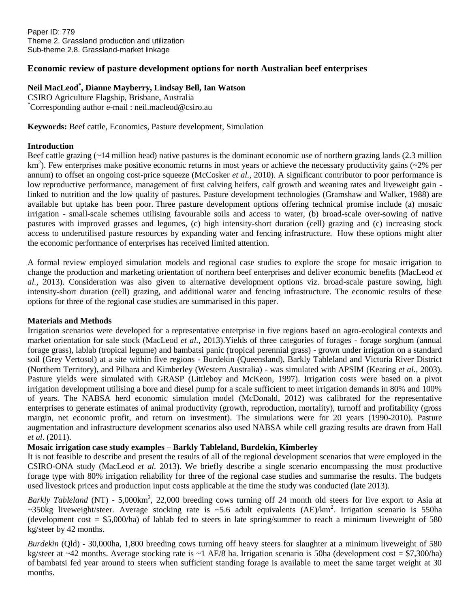## **Economic review of pasture development options for north Australian beef enterprises**

### **Neil MacLeod\* , Dianne Mayberry, Lindsay Bell, Ian Watson**

CSIRO Agriculture Flagship, Brisbane, Australia \*Corresponding author e-mail : neil.macleod@csiro.au

**Keywords:** Beef cattle, Economics, Pasture development, Simulation

#### **Introduction**

Beef cattle grazing  $(\sim 14$  million head) native pastures is the dominant economic use of northern grazing lands (2.3 million  $km<sup>2</sup>$ ). Few enterprises make positive economic returns in most years or achieve the necessary productivity gains (~2% per annum) to offset an ongoing cost-price squeeze (McCosker *et al.,* 2010). A significant contributor to poor performance is low reproductive performance, management of first calving heifers, calf growth and weaning rates and liveweight gain linked to nutrition and the low quality of pastures. Pasture development technologies (Gramshaw and Walker, 1988) are available but uptake has been poor. Three pasture development options offering technical promise include (a) mosaic irrigation - small-scale schemes utilising favourable soils and access to water, (b) broad-scale over-sowing of native pastures with improved grasses and legumes, (c) high intensity-short duration (cell) grazing and (c) increasing stock access to underutilised pasture resources by expanding water and fencing infrastructure. How these options might alter the economic performance of enterprises has received limited attention.

A formal review employed simulation models and regional case studies to explore the scope for mosaic irrigation to change the production and marketing orientation of northern beef enterprises and deliver economic benefits (MacLeod *et al.,* 2013). Consideration was also given to alternative development options viz. broad-scale pasture sowing, high intensity-short duration (cell) grazing, and additional water and fencing infrastructure. The economic results of these options for three of the regional case studies are summarised in this paper.

#### <span id="page-1-1"></span>**Materials and Methods**

Irrigation scenarios were developed for a representative enterprise in five regions based on agro-ecological contexts and market orientation for sale stock (MacLeod *et al.,* 2013).Yields of three categories of forages - forage sorghum (annual forage grass), lablab (tropical legume) and bambatsi panic (tropical perennial grass) - grown under irrigation on a standard soil (Grey Vertosol) at a site within five regions - Burdekin (Queensland), Barkly Tableland and Victoria River District (Northern Territory), and Pilbara and Kimberley (Western Australia) - was simulated with APSIM (Keating *et al.,* 2003). Pasture yields were simulated with GRASP (Littleboy and McKeon, 1997). Irrigation costs were based on a pivot irrigation development utilising a bore and diesel pump for a scale sufficient to meet irrigation demands in 80% and 100% of years. The NABSA herd economic simulation model (McDonald, 2012) was calibrated for the representative enterprises to generate estimates of animal productivity (growth, reproduction, mortality), turnoff and profitability (gross margin, net economic profit, and return on investment). The simulations were for 20 years (1990-2010). Pasture augmentation and infrastructure development scenarios also used NABSA while cell grazing results are drawn from Hall *et al*. (2011).

## **Mosaic irrigation case study examples – Barkly Tableland, Burdekin, Kimberley**

It is not feasible to describe and present the results of all of the regional development scenarios that were employed in the CSIRO-ONA study (MacLeod *et al.* 2013). We briefly describe a single scenario encompassing the most productive forage type with 80% irrigation reliability for three of the regional case studies and summarise the results. The budgets used livestock prices and production input costs applicable at the time the study was conducted (late 2013).

*Barkly Tableland* (NT) - 5,000km<sup>2</sup>, 22,000 breeding cows turning off 24 month old steers for live export to Asia at ~350kg liveweight/steer. Average stocking rate is ~5.6 adult equivalents  $(AE)/km^2$ . Irrigation scenario is 550ha (development cost =  $$5,000/ha$ ) of lablab fed to steers in late spring/summer to reach a minimum liveweight of 580 kg/steer by 42 months.

<span id="page-1-0"></span>*Burdekin* (Qld) - 30,000ha, 1,800 breeding cows turning off heavy steers for slaughter at a minimum liveweight of 580 kg/steer at ~42 months. Average stocking rate is ~1 AE/8 ha. Irrigation scenario is 50ha (development cost = \$7,300/ha) of bambatsi fed year around to steers when sufficient standing forage is available to meet the same target weight at 30 months.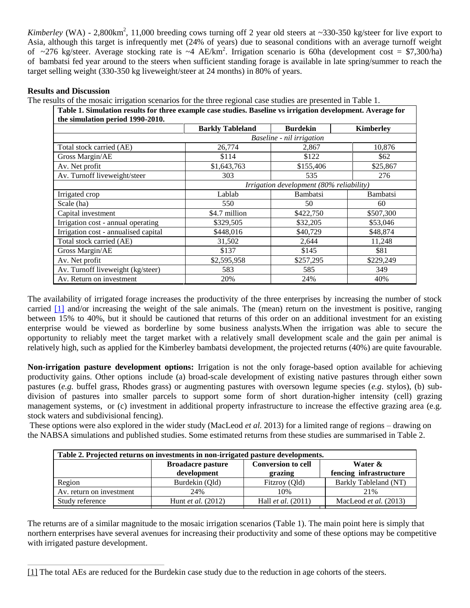*Kimberley* (WA) - 2,800km<sup>2</sup>, 11,000 breeding cows turning off 2 year old steers at ~330-350 kg/steer for live export to Asia, although this target is infrequently met (24% of years) due to seasonal conditions with an average turnoff weight of ~276 kg/steer. Average stocking rate is ~4 AE/km<sup>2</sup>. Irrigation scenario is 60ha (development cost = \$7,300/ha) of bambatsi fed year around to the steers when sufficient standing forage is available in late spring/summer to reach the target selling weight (330-350 kg liveweight/steer at 24 months) in 80% of years.

## **Results and Discussion**

The results of the mosaic irrigation scenarios for the three regional case studies are presented in Table 1.

|                                      | <b>Barkly Tableland</b>                  | <b>Burdekin</b>           | <b>Kimberley</b> |
|--------------------------------------|------------------------------------------|---------------------------|------------------|
|                                      |                                          | Baseline - nil irrigation |                  |
| Total stock carried (AE)             | 26,774                                   | 2,867                     | 10,876           |
| Gross Margin/AE                      | \$114                                    | \$122                     | \$62             |
| Av. Net profit                       | \$1,643,763                              | \$155,406                 | \$25,867         |
| Av. Turnoff liveweight/steer         | 303                                      | 535                       | 276              |
|                                      | Irrigation development (80% reliability) |                           |                  |
| Irrigated crop                       | Lablab                                   | <b>Bambatsi</b>           | <b>Bambatsi</b>  |
| Scale (ha)                           | 550                                      | 50                        | 60               |
| Capital investment                   | \$4.7 million                            | \$422,750                 | \$507,300        |
| Irrigation cost - annual operating   | \$329,505                                | \$32,205                  | \$53,046         |
| Irrigation cost - annualised capital | \$448,016                                | \$40,729                  | \$48,874         |
| Total stock carried (AE)             | 31,502                                   | 2,644                     | 11,248           |
| Gross Margin/AE                      | \$137                                    | \$145                     | \$81             |
| Av. Net profit                       | \$2,595,958                              | \$257,295                 | \$229,249        |
| Av. Turnoff liveweight (kg/steer)    | 583                                      | 585                       | 349              |
| Av. Return on investment             | 20%                                      | 24%                       | 40%              |

The availability of irrigated forage increases the productivity of the three enterprises by increasing the number of stock carried [\[1\]](#page-1-0) and/or increasing the weight of the sale animals. The (mean) return on the investment is positive, ranging between 15% to 40%, but it should be cautioned that returns of this order on an additional investment for an existing enterprise would be viewed as borderline by some business analysts.When the irrigation was able to secure the opportunity to reliably meet the target market with a relatively small development scale and the gain per animal is relatively high, such as applied for the Kimberley bambatsi development, the projected returns (40%) are quite favourable.

**Non-irrigation pasture development options:** Irrigation is not the only forage-based option available for achieving productivity gains. Other options include (a) broad-scale development of existing native pastures through either sown pastures (*e.g.* buffel grass, Rhodes grass) or augmenting pastures with oversown legume species (*e.g*. stylos), (b) subdivision of pastures into smaller parcels to support some form of short duration-higher intensity (cell) grazing management systems, or (c) investment in additional property infrastructure to increase the effective grazing area (e.g. stock waters and subdivisional fencing).

These options were also explored in the wider study (MacLeod *et al.* 2013) for a limited range of regions – drawing on the NABSA simulations and published studies. Some estimated returns from these studies are summarised in Table 2.

| Table 2. Projected returns on investments in non-irrigated pasture developments. |                             |                           |                        |  |  |
|----------------------------------------------------------------------------------|-----------------------------|---------------------------|------------------------|--|--|
|                                                                                  | <b>Broadacre pasture</b>    | <b>Conversion to cell</b> | Water &                |  |  |
|                                                                                  | development                 | grazing                   | fencing infrastructure |  |  |
| Region                                                                           | Burdekin (Old)              | Fitzroy (Qld)             | Barkly Tableland (NT)  |  |  |
| Av. return on investment                                                         | 24%                         | 10%                       | 2.1%                   |  |  |
| Study reference                                                                  | Hunt <i>et al.</i> $(2012)$ | Hall <i>et al.</i> (2011) | MacLeod et al. (2013)  |  |  |
|                                                                                  |                             |                           |                        |  |  |

The returns are of a similar magnitude to the mosaic irrigation scenarios (Table 1). The main point here is simply that northern enterprises have several avenues for increasing their productivity and some of these options may be competitive with irrigated pasture development.

[\[1\]](#page-1-1) The total AEs are reduced for the Burdekin case study due to the reduction in age cohorts of the steers.